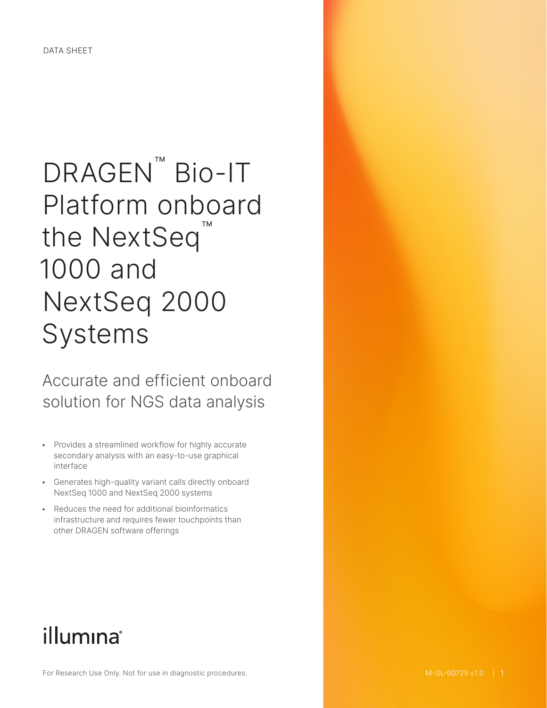# DRAGEN<sup>™</sup> Bio-IT Platform onboard the NextSeq<sup>™</sup> 1000 and NextSeq 2000 Systems

Accurate and efficient onboard solution for NGS data analysis

- Provides a streamlined workflow for highly accurate secondary analysis with an easy-to-use graphical interface
- Generates high-quality variant calls directly onboard NextSeq 1000 and NextSeq 2000 systems
- Reduces the need for additional bioinformatics infrastructure and requires fewer touchpoints than other DRAGEN software offerings

## illumina®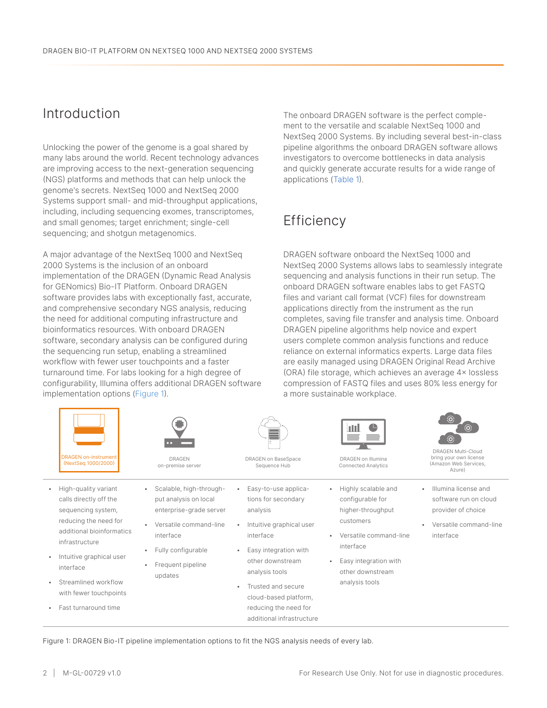### Introduction

Unlocking the power of the genome is a goal shared by many labs around the world. Recent technology advances are improving access to the next-generation sequencing (NGS) platforms and methods that can help unlock the genome's secrets. NextSeq 1000 and NextSeq 2000 Systems support small- and mid-throughput applications, including, including sequencing exomes, transcriptomes, and small genomes; target enrichment; single-cell sequencing; and shotgun metagenomics.

A major advantage of the NextSeq 1000 and NextSeq 2000 Systems is the inclusion of an onboard implementation of the DRAGEN (Dynamic Read Analysis for GENomics) Bio-IT Platform. Onboard DRAGEN software provides labs with exceptionally fast, accurate, and comprehensive secondary NGS analysis, reducing the need for additional computing infrastructure and bioinformatics resources. With onboard DRAGEN software, secondary analysis can be configured during the sequencing run setup, enabling a streamlined workflow with fewer user touchpoints and a faster turnaround time. For labs looking for a high degree of configurability, Illumina offers additional DRAGEN software implementation options [\(Figure 1](#page-1-0)).

The onboard DRAGEN software is the perfect complement to the versatile and scalable NextSeq 1000 and NextSeq 2000 Systems. By including several best-in-class pipeline algorithms the onboard DRAGEN software allows investigators to overcome bottlenecks in data analysis and quickly generate accurate results for a wide range of applications [\(Table](#page-2-0) 1).

## **Efficiency**

DRAGEN software onboard the NextSeq 1000 and NextSeq 2000 Systems allows labs to seamlessly integrate sequencing and analysis functions in their run setup. The onboard DRAGEN software enables labs to get FASTQ files and variant call format (VCF) files for downstream applications directly from the instrument as the run completes, saving file transfer and analysis time. Onboard DRAGEN pipeline algorithms help novice and expert users complete common analysis functions and reduce reliance on external informatics experts. Large data files are easily managed using DRAGEN Original Read Archive (ORA) file storage, which achieves an average 4× lossless compression of FASTQ files and uses 80% less energy for a more sustainable workplace.

|           | <b>DRAGEN on-instrument</b><br>(NextSeq 1000/2000)                   | <b>COLO</b><br><b>DRAGEN</b><br>on-premise server                           | <b>DRAGEN on BaseSpace</b><br>Sequence Hub                                                                 | пШ<br>DRAGEN on Illumina<br><b>Connected Analytics</b>       | ⊛<br>$^{\circledR}$<br>$^\mathrm{(o)}$<br><b>DRAGEN Multi-Cloud</b><br>bring your own license<br>(Amazon Web Services,<br>Azure) |
|-----------|----------------------------------------------------------------------|-----------------------------------------------------------------------------|------------------------------------------------------------------------------------------------------------|--------------------------------------------------------------|----------------------------------------------------------------------------------------------------------------------------------|
| ٠         | High-quality variant<br>calls directly off the<br>sequencing system, | Scalable, high-through-<br>put analysis on local<br>enterprise-grade server | Easy-to-use applica-<br>tions for secondary<br>analysis                                                    | Highly scalable and<br>configurable for<br>higher-throughput | Illumina license and<br>software run on cloud<br>provider of choice                                                              |
|           | reducing the need for<br>additional bioinformatics<br>infrastructure | Versatile command-line<br>interface                                         | Intuitive graphical user<br>interface                                                                      | customers<br>Versatile command-line<br>interface             | Versatile command-line<br>interface                                                                                              |
| $\bullet$ | Intuitive graphical user<br>interface                                | Fully configurable<br>Frequent pipeline<br>updates                          | Easy integration with<br>other downstream<br>analysis tools<br>Trusted and secure<br>cloud-based platform, | Easy integration with<br>other downstream<br>analysis tools  |                                                                                                                                  |
| $\bullet$ | Streamlined workflow<br>with fewer touchpoints                       |                                                                             |                                                                                                            |                                                              |                                                                                                                                  |
| ٠         | Fast turnaround time                                                 |                                                                             | reducing the need for<br>additional infrastructure                                                         |                                                              |                                                                                                                                  |

<span id="page-1-0"></span>Figure 1: DRAGEN Bio-IT pipeline implementation options to fit the NGS analysis needs of every lab.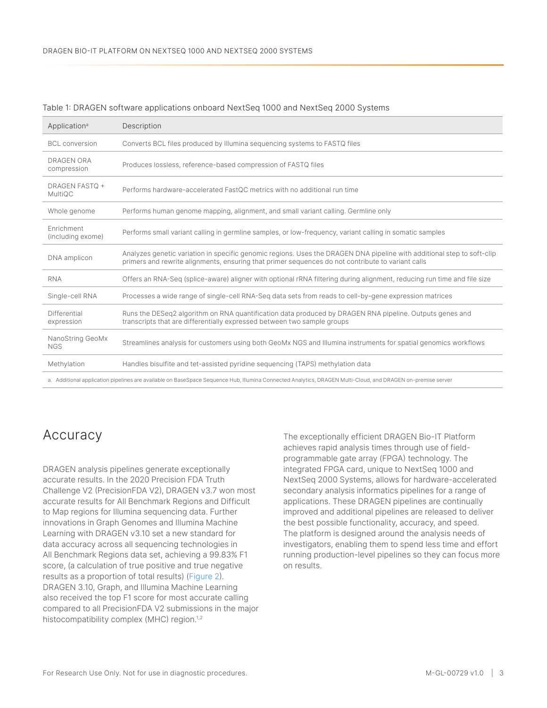| Application <sup>a</sup>                                                                                                                                    | Description                                                                                                                                                                                                                 |  |  |  |
|-------------------------------------------------------------------------------------------------------------------------------------------------------------|-----------------------------------------------------------------------------------------------------------------------------------------------------------------------------------------------------------------------------|--|--|--|
| <b>BCL</b> conversion                                                                                                                                       | Converts BCL files produced by Illumina sequencing systems to FASTQ files                                                                                                                                                   |  |  |  |
| <b>DRAGEN ORA</b><br>compression                                                                                                                            | Produces lossless, reference-based compression of FASTQ files                                                                                                                                                               |  |  |  |
| <b>DRAGEN FASTQ +</b><br>MultiQC                                                                                                                            | Performs hardware-accelerated FastQC metrics with no additional run time                                                                                                                                                    |  |  |  |
| Whole genome                                                                                                                                                | Performs human genome mapping, alignment, and small variant calling. Germline only                                                                                                                                          |  |  |  |
| Enrichment<br>(including exome)                                                                                                                             | Performs small variant calling in germline samples, or low-frequency, variant calling in somatic samples                                                                                                                    |  |  |  |
| DNA amplicon                                                                                                                                                | Analyzes genetic variation in specific genomic regions. Uses the DRAGEN DNA pipeline with additional step to soft-clip<br>primers and rewrite alignments, ensuring that primer sequences do not contribute to variant calls |  |  |  |
| <b>RNA</b>                                                                                                                                                  | Offers an RNA-Seg (splice-aware) aligner with optional rRNA filtering during alignment, reducing run time and file size                                                                                                     |  |  |  |
| Single-cell RNA                                                                                                                                             | Processes a wide range of single-cell RNA-Seg data sets from reads to cell-by-gene expression matrices                                                                                                                      |  |  |  |
| Differential<br>expression                                                                                                                                  | Runs the DESeq2 algorithm on RNA quantification data produced by DRAGEN RNA pipeline. Outputs genes and<br>transcripts that are differentially expressed between two sample groups                                          |  |  |  |
| NanoString GeoMx<br><b>NGS</b>                                                                                                                              | Streamlines analysis for customers using both GeoMx NGS and Illumina instruments for spatial genomics workflows                                                                                                             |  |  |  |
| Methylation                                                                                                                                                 | Handles bisulfite and tet-assisted pyridine sequencing (TAPS) methylation data                                                                                                                                              |  |  |  |
| a. Additional application pipelines are available on BaseSpace Sequence Hub, Illumina Connected Analytics, DRAGEN Multi-Cloud, and DRAGEN on-premise server |                                                                                                                                                                                                                             |  |  |  |

#### <span id="page-2-0"></span>Table 1: DRAGEN software applications onboard NextSeq 1000 and NextSeq 2000 Systems

#### Accuracy

DRAGEN analysis pipelines generate exceptionally accurate results. In the 2020 Precision FDA Truth Challenge V2 (PrecisionFDA V2), DRAGEN v3.7 won most accurate results for All Benchmark Regions and Difficult to Map regions for Illumina sequencing data. Further innovations in Graph Genomes and Illumina Machine Learning with DRAGEN v3.10 set a new standard for data accuracy across all sequencing technologies in All Benchmark Regions data set, achieving a 99.83% F1 score, (a calculation of true positive and true negative results as a proportion of total results) ([Figure 2](#page-3-0)). DRAGEN 3.10, Graph, and Illumina Machine Learning also received the top F1 score for most accurate calling compared to all PrecisionFDA V2 submissions in the major histocompatibility complex (MHC) region.<sup>[1](#page-5-0),[2](#page-5-1)</sup>

The exceptionally efficient DRAGEN Bio-IT Platform achieves rapid analysis times through use of fieldprogrammable gate array (FPGA) technology. The integrated FPGA card, unique to NextSeq 1000 and NextSeq 2000 Systems, allows for hardware-accelerated secondary analysis informatics pipelines for a range of applications. These DRAGEN pipelines are continually improved and additional pipelines are released to deliver the best possible functionality, accuracy, and speed. The platform is designed around the analysis needs of investigators, enabling them to spend less time and effort running production-level pipelines so they can focus more on results.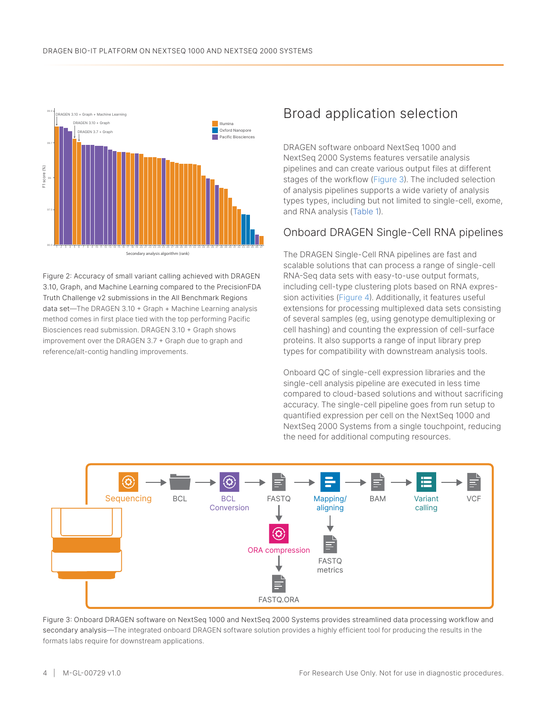

<span id="page-3-0"></span>Figure 2: Accuracy of small variant calling achieved with DRAGEN 3.10, Graph, and Machine Learning compared to the PrecisionFDA Truth Challenge v2 submissions in the All Benchmark Regions data set—The DRAGEN 3.10 + Graph + Machine Learning analysis method comes in first place tied with the top performing Pacific Biosciences read submission. DRAGEN 3.10 + Graph shows improvement over the DRAGEN 3.7 + Graph due to graph and reference/alt-contig handling improvements.

### Broad application selection

DRAGEN software onboard NextSeq 1000 and NextSeq 2000 Systems features versatile analysis pipelines and can create various output files at different stages of the workflow [\(Figure 3](#page-3-1)). The included selection of analysis pipelines supports a wide variety of analysis types types, including but not limited to single-cell, exome, and RNA analysis [\(Table](#page-2-0) 1).

#### Onboard DRAGEN Single-Cell RNA pipelines

The DRAGEN Single-Cell RNA pipelines are fast and scalable solutions that can process a range of single-cell RNA-Seq data sets with easy-to-use output formats, including cell-type clustering plots based on RNA expression activities ([Figure 4](#page-4-0)). Additionally, it features useful extensions for processing multiplexed data sets consisting of several samples (eg, using genotype demultiplexing or cell hashing) and counting the expression of cell-surface proteins. It also supports a range of input library prep types for compatibility with downstream analysis tools.

Onboard QC of single-cell expression libraries and the single-cell analysis pipeline are executed in less time compared to cloud-based solutions and without sacrificing accuracy. The single-cell pipeline goes from run setup to quantified expression per cell on the NextSeq 1000 and NextSeq 2000 Systems from a single touchpoint, reducing the need for additional computing resources.



<span id="page-3-1"></span>Figure 3: Onboard DRAGEN software on NextSeq 1000 and NextSeq 2000 Systems provides streamlined data processing workflow and secondary analysis—The integrated onboard DRAGEN software solution provides a highly efficient tool for producing the results in the formats labs require for downstream applications.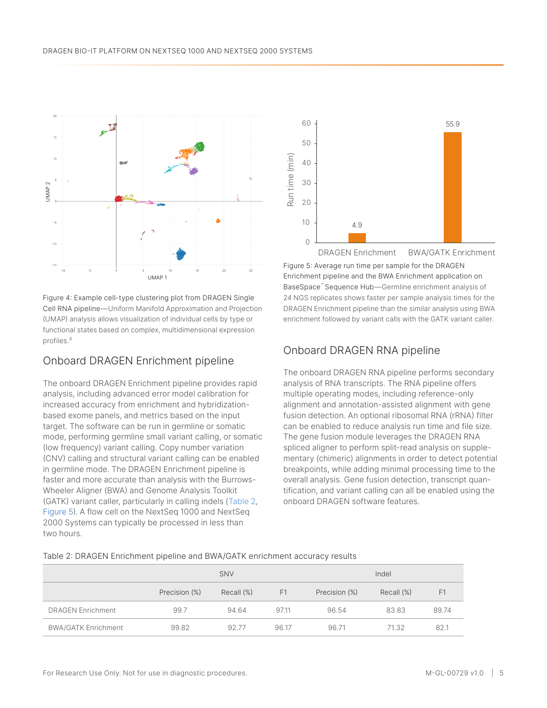

<span id="page-4-0"></span>Figure 4: Example cell-type clustering plot from DRAGEN Single Cell RNA pipeline—Uniform Manifold Approximation and Projection (UMAP) analysis allows visualization of individual cells by type or functional states based on complex, multidimensional expression profiles.[4](#page-5-2)

#### Onboard DRAGEN Enrichment pipeline

The onboard DRAGEN Enrichment pipeline provides rapid analysis, including advanced error model calibration for increased accuracy from enrichment and hybridizationbased exome panels, and metrics based on the input target. The software can be run in germline or somatic mode, performing germline small variant calling, or somatic (low frequency) variant calling. Copy number variation (CNV) calling and structural variant calling can be enabled in germline mode. The DRAGEN Enrichment pipeline is faster and more accurate than analysis with the Burrows-Wheeler Aligner (BWA) and Genome Analysis Toolkit (GATK) variant caller, particularly in calling indels ([Table 2](#page-4-1), [Figure 5](#page-4-2)). A flow cell on the NextSeq 1000 and NextSeq 2000 Systems can typically be processed in less than two hours.



<span id="page-4-2"></span>Figure 5: Average run time per sample for the DRAGEN Enrichment pipeline and the BWA Enrichment application on BaseSpace™ Sequence Hub—Germline enrichment analysis of 24 NGS replicates shows faster per sample analysis times for the DRAGEN Enrichment pipeline than the similar analysis using BWA enrichment followed by variant calls with the GATK variant caller.

#### Onboard DRAGEN RNA pipeline

The onboard DRAGEN RNA pipeline performs secondary analysis of RNA transcripts. The RNA pipeline offers multiple operating modes, including reference-only alignment and annotation-assisted alignment with gene fusion detection. An optional ribosomal RNA (rRNA) filter can be enabled to reduce analysis run time and file size. The gene fusion module leverages the DRAGEN RNA spliced aligner to perform split-read analysis on supplementary (chimeric) alignments in order to detect potential breakpoints, while adding minimal processing time to the overall analysis. Gene fusion detection, transcript quantification, and variant calling can all be enabled using the onboard DRAGEN software features.

#### <span id="page-4-1"></span>Table 2: DRAGEN Enrichment pipeline and BWA/GATK enrichment accuracy results

|                            | SNV           |            |       | Indel         |            |       |
|----------------------------|---------------|------------|-------|---------------|------------|-------|
|                            | Precision (%) | Recall (%) | F1    | Precision (%) | Recall (%) | F1    |
| <b>DRAGEN Enrichment</b>   | 99.7          | 94.64      | 97.11 | 96.54         | 83.83      | 89.74 |
| <b>BWA/GATK Enrichment</b> | 99.82         | 92.77      | 96.17 | 96.71         | 71.32      | 82.1  |